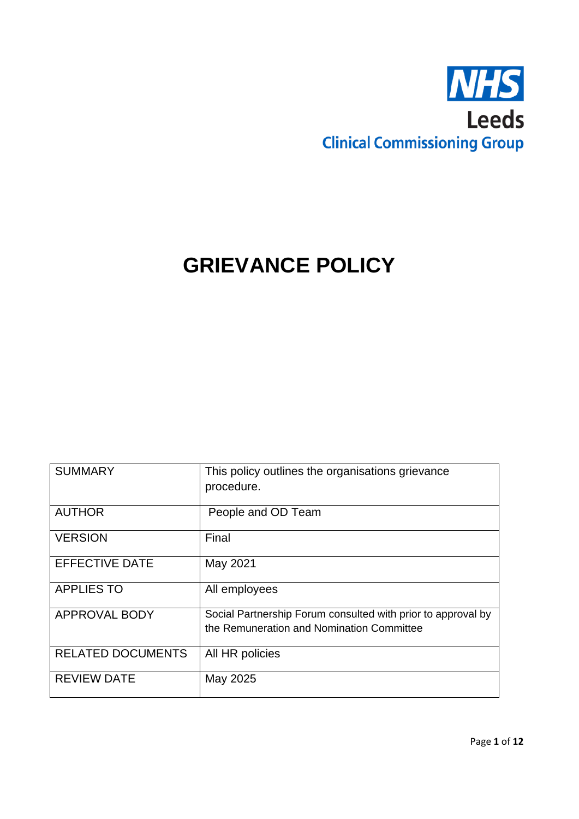

# **GRIEVANCE POLICY**

| <b>SUMMARY</b>           | This policy outlines the organisations grievance<br>procedure. |
|--------------------------|----------------------------------------------------------------|
|                          |                                                                |
| <b>AUTHOR</b>            | People and OD Team                                             |
| <b>VERSION</b>           | Final                                                          |
| <b>EFFECTIVE DATE</b>    | May 2021                                                       |
| <b>APPLIES TO</b>        | All employees                                                  |
| <b>APPROVAL BODY</b>     | Social Partnership Forum consulted with prior to approval by   |
|                          | the Remuneration and Nomination Committee                      |
| <b>RELATED DOCUMENTS</b> | All HR policies                                                |
| <b>REVIEW DATE</b>       | May 2025                                                       |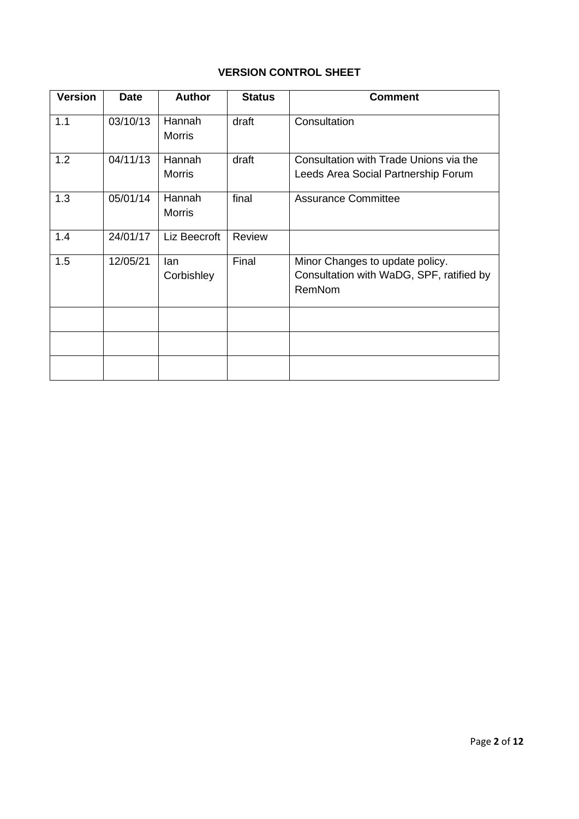## **VERSION CONTROL SHEET**

| <b>Version</b> | <b>Date</b> | <b>Author</b>           | <b>Status</b> | <b>Comment</b>                                                                        |
|----------------|-------------|-------------------------|---------------|---------------------------------------------------------------------------------------|
| 1.1            | 03/10/13    | Hannah<br><b>Morris</b> | draft         | Consultation                                                                          |
| 1.2            | 04/11/13    | Hannah<br><b>Morris</b> | draft         | Consultation with Trade Unions via the<br>Leeds Area Social Partnership Forum         |
| 1.3            | 05/01/14    | Hannah<br><b>Morris</b> | final         | <b>Assurance Committee</b>                                                            |
| 1.4            | 24/01/17    | Liz Beecroft            | Review        |                                                                                       |
| 1.5            | 12/05/21    | lan<br>Corbishley       | Final         | Minor Changes to update policy.<br>Consultation with WaDG, SPF, ratified by<br>RemNom |
|                |             |                         |               |                                                                                       |
|                |             |                         |               |                                                                                       |
|                |             |                         |               |                                                                                       |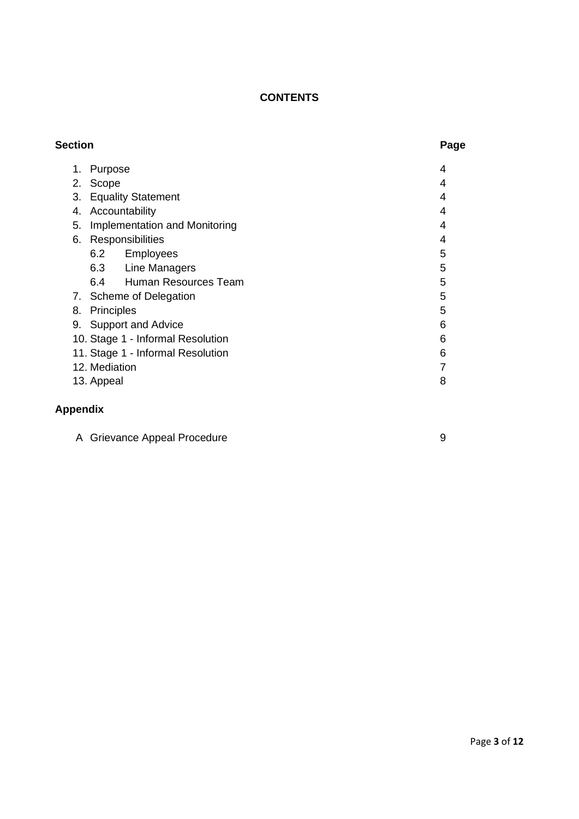## **CONTENTS**

| <b>Section</b> |                                   | Page |
|----------------|-----------------------------------|------|
| 1.             | Purpose                           | 4    |
| 2.             | Scope                             | 4    |
| 3.             | <b>Equality Statement</b>         | 4    |
| 4.             | Accountability                    | 4    |
| 5.             | Implementation and Monitoring     | 4    |
| 6.             | Responsibilities                  | 4    |
|                | 6.2<br><b>Employees</b>           | 5    |
|                | 6.3 Line Managers                 | 5    |
|                | 6.4 Human Resources Team          | 5    |
|                | 7. Scheme of Delegation           | 5    |
| 8.             | Principles                        | 5    |
|                | 9. Support and Advice             | 6    |
|                | 10. Stage 1 - Informal Resolution | 6    |
|                | 11. Stage 1 - Informal Resolution | 6    |
|                | 12. Mediation                     |      |
|                | 13. Appeal                        | 8    |
|                |                                   |      |

## **Appendix**

|  | A Grievance Appeal Procedure |  |
|--|------------------------------|--|
|--|------------------------------|--|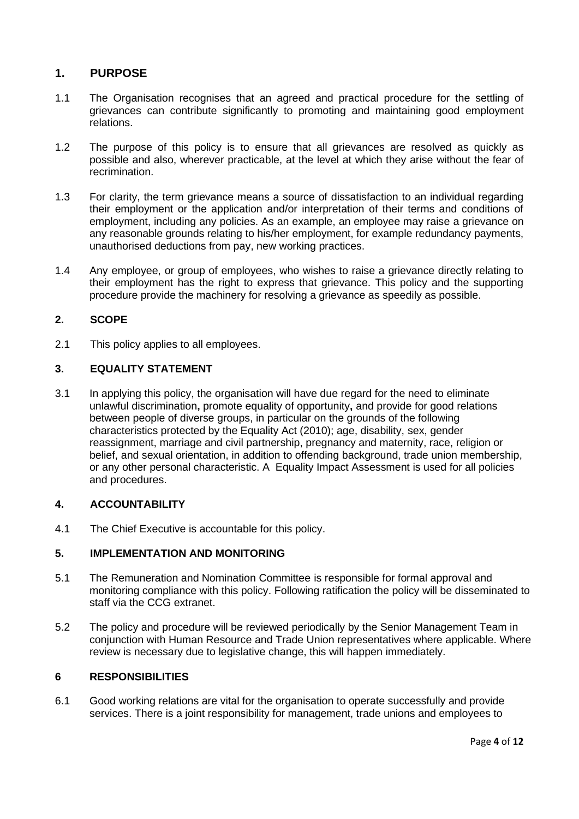### **1. PURPOSE**

- 1.1 The Organisation recognises that an agreed and practical procedure for the settling of grievances can contribute significantly to promoting and maintaining good employment relations.
- 1.2 The purpose of this policy is to ensure that all grievances are resolved as quickly as possible and also, wherever practicable, at the level at which they arise without the fear of recrimination.
- 1.3 For clarity, the term grievance means a source of dissatisfaction to an individual regarding their employment or the application and/or interpretation of their terms and conditions of employment, including any policies. As an example, an employee may raise a grievance on any reasonable grounds relating to his/her employment, for example redundancy payments, unauthorised deductions from pay, new working practices.
- 1.4 Any employee, or group of employees, who wishes to raise a grievance directly relating to their employment has the right to express that grievance. This policy and the supporting procedure provide the machinery for resolving a grievance as speedily as possible.

### **2. SCOPE**

2.1 This policy applies to all employees.

### **3. EQUALITY STATEMENT**

3.1 In applying this policy, the organisation will have due regard for the need to eliminate unlawful discrimination**,** promote equality of opportunity**,** and provide for good relations between people of diverse groups, in particular on the grounds of the following characteristics protected by the Equality Act (2010); age, disability, sex, gender reassignment, marriage and civil partnership, pregnancy and maternity, race, religion or belief, and sexual orientation, in addition to offending background, trade union membership, or any other personal characteristic. A Equality Impact Assessment is used for all policies and procedures.

### **4. ACCOUNTABILITY**

4.1 The Chief Executive is accountable for this policy.

### **5. IMPLEMENTATION AND MONITORING**

- 5.1 The Remuneration and Nomination Committee is responsible for formal approval and monitoring compliance with this policy. Following ratification the policy will be disseminated to staff via the CCG extranet.
- 5.2 The policy and procedure will be reviewed periodically by the Senior Management Team in conjunction with Human Resource and Trade Union representatives where applicable. Where review is necessary due to legislative change, this will happen immediately.

### **6 RESPONSIBILITIES**

6.1 Good working relations are vital for the organisation to operate successfully and provide services. There is a joint responsibility for management, trade unions and employees to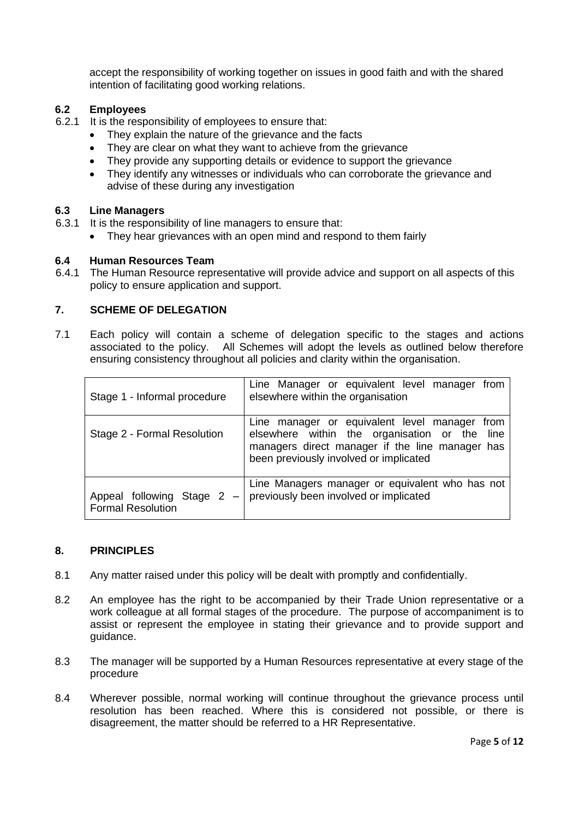accept the responsibility of working together on issues in good faith and with the shared intention of facilitating good working relations.

### **6.2 Employees**

- 6.2.1 It is the responsibility of employees to ensure that:
	- They explain the nature of the grievance and the facts
	- They are clear on what they want to achieve from the grievance
	- They provide any supporting details or evidence to support the grievance
	- They identify any witnesses or individuals who can corroborate the grievance and advise of these during any investigation

### **6.3 Line Managers**

- 6.3.1 It is the responsibility of line managers to ensure that:
	- They hear grievances with an open mind and respond to them fairly

## **6.4 Human Resources Team**

The Human Resource representative will provide advice and support on all aspects of this policy to ensure application and support.

### **7. SCHEME OF DELEGATION**

7.1 Each policy will contain a scheme of delegation specific to the stages and actions associated to the policy. All Schemes will adopt the levels as outlined below therefore ensuring consistency throughout all policies and clarity within the organisation.

| Stage 1 - Informal procedure                         | Line Manager or equivalent level manager<br>from<br>elsewhere within the organisation                                                                                                       |
|------------------------------------------------------|---------------------------------------------------------------------------------------------------------------------------------------------------------------------------------------------|
| Stage 2 - Formal Resolution                          | Line manager or equivalent level manager from<br>elsewhere within the organisation or the line<br>managers direct manager if the line manager has<br>been previously involved or implicated |
| Appeal following Stage 2<br><b>Formal Resolution</b> | Line Managers manager or equivalent who has not<br>previously been involved or implicated                                                                                                   |

#### **8. PRINCIPLES**

- 8.1 Any matter raised under this policy will be dealt with promptly and confidentially.
- 8.2 An employee has the right to be accompanied by their Trade Union representative or a work colleague at all formal stages of the procedure. The purpose of accompaniment is to assist or represent the employee in stating their grievance and to provide support and guidance.
- 8.3 The manager will be supported by a Human Resources representative at every stage of the procedure
- 8.4 Wherever possible, normal working will continue throughout the grievance process until resolution has been reached. Where this is considered not possible, or there is disagreement, the matter should be referred to a HR Representative.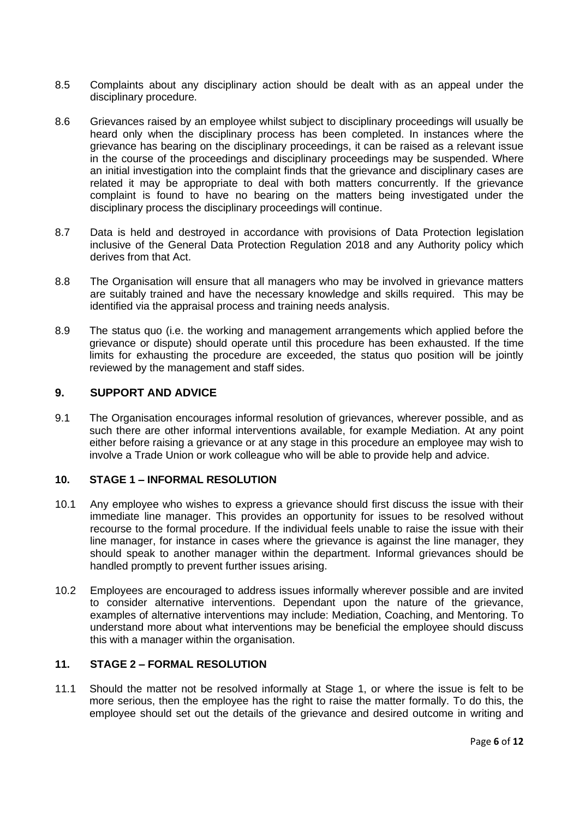- 8.5 Complaints about any disciplinary action should be dealt with as an appeal under the disciplinary procedure.
- 8.6 Grievances raised by an employee whilst subject to disciplinary proceedings will usually be heard only when the disciplinary process has been completed. In instances where the grievance has bearing on the disciplinary proceedings, it can be raised as a relevant issue in the course of the proceedings and disciplinary proceedings may be suspended. Where an initial investigation into the complaint finds that the grievance and disciplinary cases are related it may be appropriate to deal with both matters concurrently. If the grievance complaint is found to have no bearing on the matters being investigated under the disciplinary process the disciplinary proceedings will continue.
- 8.7 Data is held and destroyed in accordance with provisions of Data Protection legislation inclusive of the General Data Protection Regulation 2018 and any Authority policy which derives from that Act.
- 8.8 The Organisation will ensure that all managers who may be involved in grievance matters are suitably trained and have the necessary knowledge and skills required. This may be identified via the appraisal process and training needs analysis.
- 8.9 The status quo (i.e. the working and management arrangements which applied before the grievance or dispute) should operate until this procedure has been exhausted. If the time limits for exhausting the procedure are exceeded, the status quo position will be jointly reviewed by the management and staff sides.

### **9. SUPPORT AND ADVICE**

9.1 The Organisation encourages informal resolution of grievances, wherever possible, and as such there are other informal interventions available, for example Mediation. At any point either before raising a grievance or at any stage in this procedure an employee may wish to involve a Trade Union or work colleague who will be able to provide help and advice.

### **10. STAGE 1 – INFORMAL RESOLUTION**

- 10.1 Any employee who wishes to express a grievance should first discuss the issue with their immediate line manager. This provides an opportunity for issues to be resolved without recourse to the formal procedure. If the individual feels unable to raise the issue with their line manager, for instance in cases where the grievance is against the line manager, they should speak to another manager within the department. Informal grievances should be handled promptly to prevent further issues arising.
- 10.2 Employees are encouraged to address issues informally wherever possible and are invited to consider alternative interventions. Dependant upon the nature of the grievance, examples of alternative interventions may include: Mediation, Coaching, and Mentoring. To understand more about what interventions may be beneficial the employee should discuss this with a manager within the organisation.

### **11. STAGE 2 – FORMAL RESOLUTION**

11.1 Should the matter not be resolved informally at Stage 1, or where the issue is felt to be more serious, then the employee has the right to raise the matter formally. To do this, the employee should set out the details of the grievance and desired outcome in writing and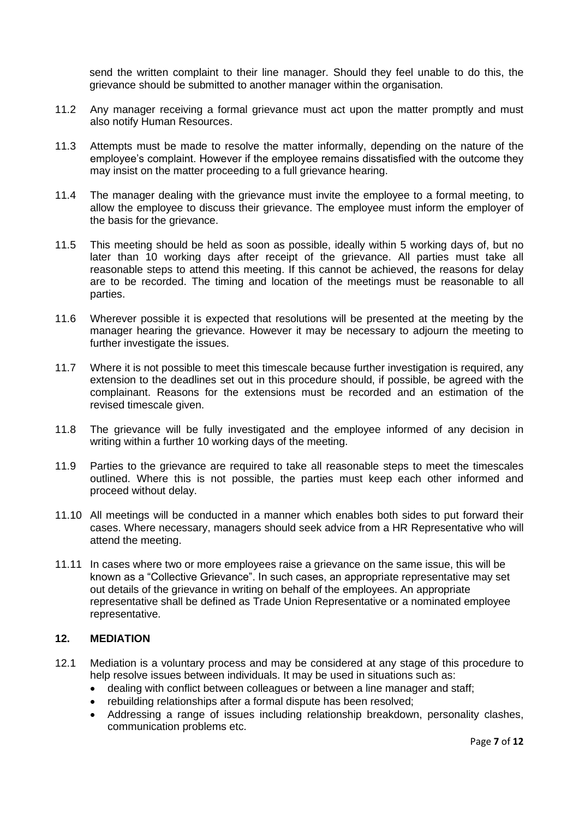send the written complaint to their line manager. Should they feel unable to do this, the grievance should be submitted to another manager within the organisation.

- 11.2 Any manager receiving a formal grievance must act upon the matter promptly and must also notify Human Resources.
- 11.3 Attempts must be made to resolve the matter informally, depending on the nature of the employee's complaint. However if the employee remains dissatisfied with the outcome they may insist on the matter proceeding to a full grievance hearing.
- 11.4 The manager dealing with the grievance must invite the employee to a formal meeting, to allow the employee to discuss their grievance. The employee must inform the employer of the basis for the grievance.
- 11.5 This meeting should be held as soon as possible, ideally within 5 working days of, but no later than 10 working days after receipt of the grievance. All parties must take all reasonable steps to attend this meeting. If this cannot be achieved, the reasons for delay are to be recorded. The timing and location of the meetings must be reasonable to all parties.
- 11.6 Wherever possible it is expected that resolutions will be presented at the meeting by the manager hearing the grievance. However it may be necessary to adjourn the meeting to further investigate the issues.
- 11.7 Where it is not possible to meet this timescale because further investigation is required, any extension to the deadlines set out in this procedure should, if possible, be agreed with the complainant. Reasons for the extensions must be recorded and an estimation of the revised timescale given.
- 11.8 The grievance will be fully investigated and the employee informed of any decision in writing within a further 10 working days of the meeting.
- 11.9 Parties to the grievance are required to take all reasonable steps to meet the timescales outlined. Where this is not possible, the parties must keep each other informed and proceed without delay.
- 11.10 All meetings will be conducted in a manner which enables both sides to put forward their cases. Where necessary, managers should seek advice from a HR Representative who will attend the meeting.
- 11.11 In cases where two or more employees raise a grievance on the same issue, this will be known as a "Collective Grievance". In such cases, an appropriate representative may set out details of the grievance in writing on behalf of the employees. An appropriate representative shall be defined as Trade Union Representative or a nominated employee representative.

### **12. MEDIATION**

- 12.1 Mediation is a voluntary process and may be considered at any stage of this procedure to help resolve issues between individuals. It may be used in situations such as:
	- dealing with conflict between colleagues or between a line manager and staff;
	- rebuilding relationships after a formal dispute has been resolved;
	- Addressing a range of issues including relationship breakdown, personality clashes, communication problems etc.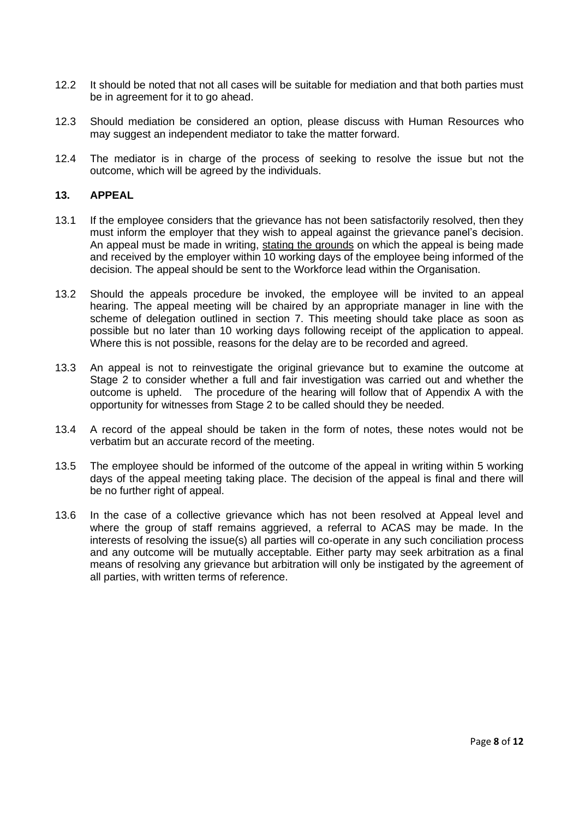- 12.2 It should be noted that not all cases will be suitable for mediation and that both parties must be in agreement for it to go ahead.
- 12.3 Should mediation be considered an option, please discuss with Human Resources who may suggest an independent mediator to take the matter forward.
- 12.4 The mediator is in charge of the process of seeking to resolve the issue but not the outcome, which will be agreed by the individuals.

### **13. APPEAL**

- 13.1 If the employee considers that the grievance has not been satisfactorily resolved, then they must inform the employer that they wish to appeal against the grievance panel's decision. An appeal must be made in writing, stating the grounds on which the appeal is being made and received by the employer within 10 working days of the employee being informed of the decision. The appeal should be sent to the Workforce lead within the Organisation.
- 13.2 Should the appeals procedure be invoked, the employee will be invited to an appeal hearing. The appeal meeting will be chaired by an appropriate manager in line with the scheme of delegation outlined in section 7. This meeting should take place as soon as possible but no later than 10 working days following receipt of the application to appeal. Where this is not possible, reasons for the delay are to be recorded and agreed.
- 13.3 An appeal is not to reinvestigate the original grievance but to examine the outcome at Stage 2 to consider whether a full and fair investigation was carried out and whether the outcome is upheld. The procedure of the hearing will follow that of Appendix A with the opportunity for witnesses from Stage 2 to be called should they be needed.
- 13.4 A record of the appeal should be taken in the form of notes, these notes would not be verbatim but an accurate record of the meeting.
- 13.5 The employee should be informed of the outcome of the appeal in writing within 5 working days of the appeal meeting taking place. The decision of the appeal is final and there will be no further right of appeal.
- 13.6 In the case of a collective grievance which has not been resolved at Appeal level and where the group of staff remains aggrieved, a referral to ACAS may be made. In the interests of resolving the issue(s) all parties will co-operate in any such conciliation process and any outcome will be mutually acceptable. Either party may seek arbitration as a final means of resolving any grievance but arbitration will only be instigated by the agreement of all parties, with written terms of reference.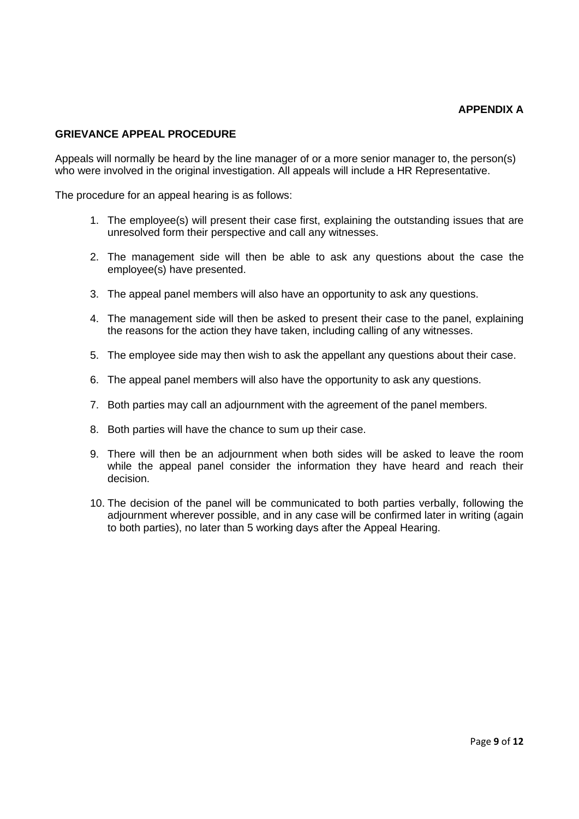### **GRIEVANCE APPEAL PROCEDURE**

Appeals will normally be heard by the line manager of or a more senior manager to, the person(s) who were involved in the original investigation. All appeals will include a HR Representative.

The procedure for an appeal hearing is as follows:

- 1. The employee(s) will present their case first, explaining the outstanding issues that are unresolved form their perspective and call any witnesses.
- 2. The management side will then be able to ask any questions about the case the employee(s) have presented.
- 3. The appeal panel members will also have an opportunity to ask any questions.
- 4. The management side will then be asked to present their case to the panel, explaining the reasons for the action they have taken, including calling of any witnesses.
- 5. The employee side may then wish to ask the appellant any questions about their case.
- 6. The appeal panel members will also have the opportunity to ask any questions.
- 7. Both parties may call an adjournment with the agreement of the panel members.
- 8. Both parties will have the chance to sum up their case.
- 9. There will then be an adjournment when both sides will be asked to leave the room while the appeal panel consider the information they have heard and reach their decision.
- 10. The decision of the panel will be communicated to both parties verbally, following the adjournment wherever possible, and in any case will be confirmed later in writing (again to both parties), no later than 5 working days after the Appeal Hearing.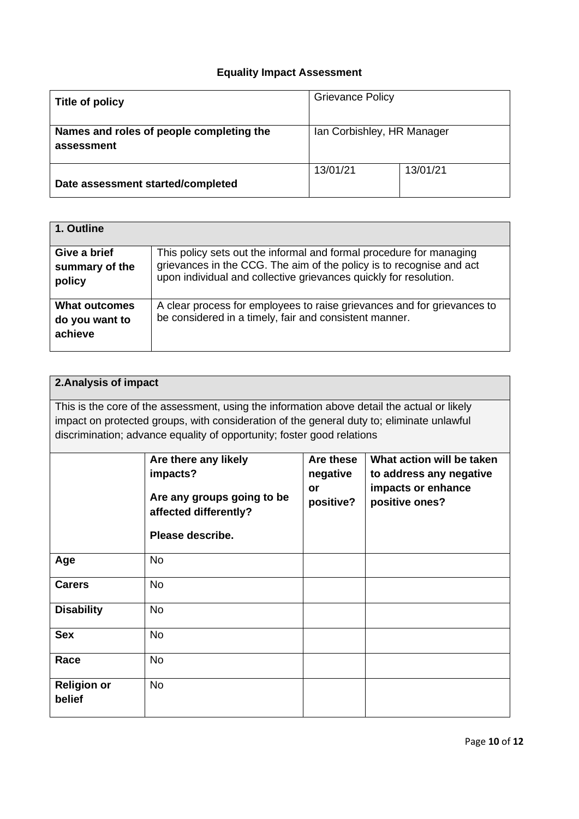## **Equality Impact Assessment**

| Title of policy                                        | <b>Grievance Policy</b>    |          |
|--------------------------------------------------------|----------------------------|----------|
| Names and roles of people completing the<br>assessment | Ian Corbishley, HR Manager |          |
| Date assessment started/completed                      | 13/01/21                   | 13/01/21 |

| 1. Outline                                        |                                                                                                                                                                                                                  |
|---------------------------------------------------|------------------------------------------------------------------------------------------------------------------------------------------------------------------------------------------------------------------|
| Give a brief<br>summary of the<br>policy          | This policy sets out the informal and formal procedure for managing<br>grievances in the CCG. The aim of the policy is to recognise and act<br>upon individual and collective grievances quickly for resolution. |
| <b>What outcomes</b><br>do you want to<br>achieve | A clear process for employees to raise grievances and for grievances to<br>be considered in a timely, fair and consistent manner.                                                                                |

| 2. Analysis of impact        |                                                                                             |           |                           |
|------------------------------|---------------------------------------------------------------------------------------------|-----------|---------------------------|
|                              | This is the core of the assessment, using the information above detail the actual or likely |           |                           |
|                              | impact on protected groups, with consideration of the general duty to; eliminate unlawful   |           |                           |
|                              | discrimination; advance equality of opportunity; foster good relations                      |           |                           |
|                              |                                                                                             |           |                           |
|                              | Are there any likely                                                                        | Are these | What action will be taken |
|                              | impacts?                                                                                    | negative  | to address any negative   |
|                              | Are any groups going to be                                                                  | or        | impacts or enhance        |
|                              |                                                                                             | positive? | positive ones?            |
|                              | affected differently?                                                                       |           |                           |
|                              | Please describe.                                                                            |           |                           |
| Age                          | <b>No</b>                                                                                   |           |                           |
| <b>Carers</b>                | <b>No</b>                                                                                   |           |                           |
| <b>Disability</b>            | <b>No</b>                                                                                   |           |                           |
| <b>Sex</b>                   | <b>No</b>                                                                                   |           |                           |
| Race                         | <b>No</b>                                                                                   |           |                           |
| <b>Religion or</b><br>belief | <b>No</b>                                                                                   |           |                           |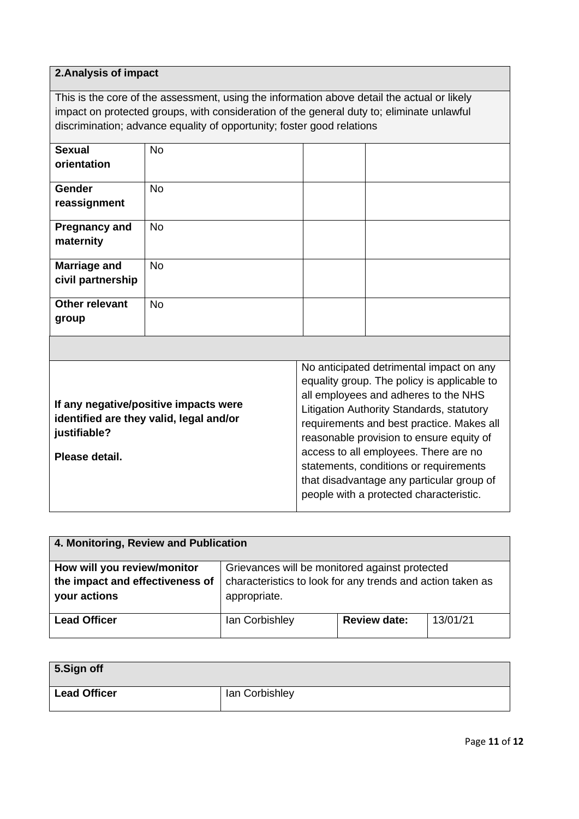## **2.Analysis of impact**

This is the core of the assessment, using the information above detail the actual or likely impact on protected groups, with consideration of the general duty to; eliminate unlawful discrimination; advance equality of opportunity; foster good relations

| <b>Sexual</b><br>orientation             | <b>No</b> |  |
|------------------------------------------|-----------|--|
| <b>Gender</b><br>reassignment            | <b>No</b> |  |
| <b>Pregnancy and</b><br>maternity        | No        |  |
| <b>Marriage and</b><br>civil partnership | <b>No</b> |  |
| Other relevant<br>group                  | <b>No</b> |  |

| 4. Monitoring, Review and Publication           |                                                                            |                     |          |
|-------------------------------------------------|----------------------------------------------------------------------------|---------------------|----------|
| How will you review/monitor                     | Grievances will be monitored against protected                             |                     |          |
| the impact and effectiveness of<br>your actions | characteristics to look for any trends and action taken as<br>appropriate. |                     |          |
| <b>Lead Officer</b>                             | lan Corbishley                                                             | <b>Review date:</b> | 13/01/21 |

| 5.Sign off          |                |
|---------------------|----------------|
| <b>Lead Officer</b> | lan Corbishley |